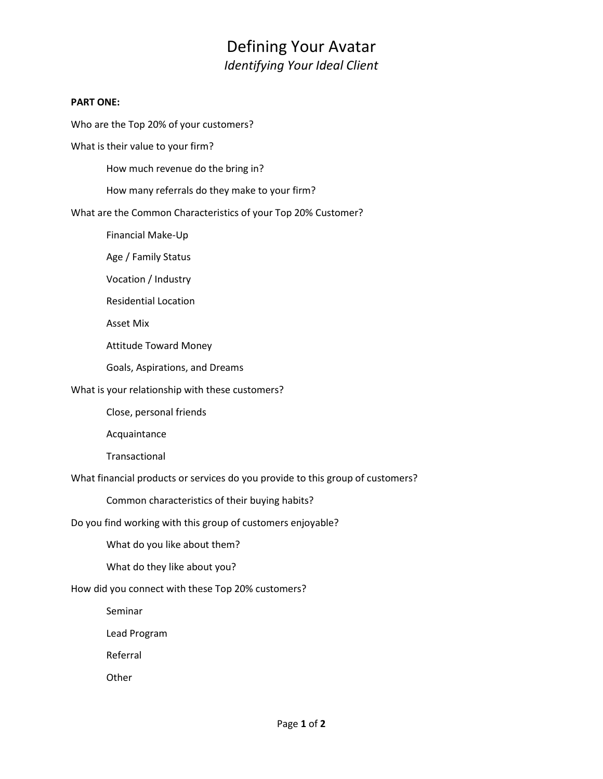## Defining Your Avatar *Identifying Your Ideal Client*

#### **PART ONE:**

Who are the Top 20% of your customers?

What is their value to your firm?

How much revenue do the bring in?

How many referrals do they make to your firm?

What are the Common Characteristics of your Top 20% Customer?

Financial Make-Up

Age / Family Status

Vocation / Industry

Residential Location

Asset Mix

Attitude Toward Money

Goals, Aspirations, and Dreams

What is your relationship with these customers?

Close, personal friends

Acquaintance

Transactional

What financial products or services do you provide to this group of customers?

Common characteristics of their buying habits?

Do you find working with this group of customers enjoyable?

What do you like about them?

What do they like about you?

How did you connect with these Top 20% customers?

Seminar

Lead Program

Referral

**Other**